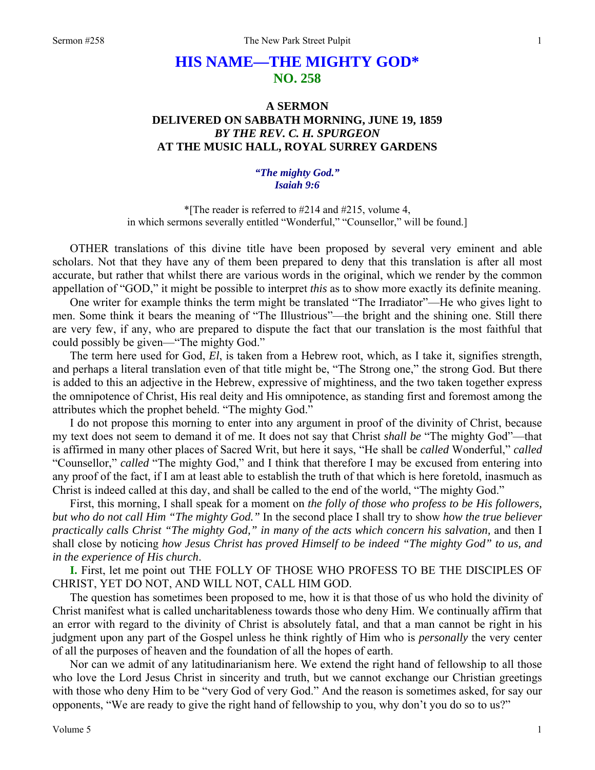## **HIS NAME—THE MIGHTY GOD\* NO. 258**

## **A SERMON DELIVERED ON SABBATH MORNING, JUNE 19, 1859**  *BY THE REV. C. H. SPURGEON*  **AT THE MUSIC HALL, ROYAL SURREY GARDENS**

## *"The mighty God." Isaiah 9:6*

\*[The reader is referred to #214 and #215, volume 4, in which sermons severally entitled "Wonderful," "Counsellor," will be found.]

OTHER translations of this divine title have been proposed by several very eminent and able scholars. Not that they have any of them been prepared to deny that this translation is after all most accurate, but rather that whilst there are various words in the original, which we render by the common appellation of "GOD," it might be possible to interpret *this* as to show more exactly its definite meaning.

One writer for example thinks the term might be translated "The Irradiator"—He who gives light to men. Some think it bears the meaning of "The Illustrious"—the bright and the shining one. Still there are very few, if any, who are prepared to dispute the fact that our translation is the most faithful that could possibly be given—"The mighty God."

The term here used for God, *El*, is taken from a Hebrew root, which, as I take it, signifies strength, and perhaps a literal translation even of that title might be, "The Strong one," the strong God. But there is added to this an adjective in the Hebrew, expressive of mightiness, and the two taken together express the omnipotence of Christ, His real deity and His omnipotence, as standing first and foremost among the attributes which the prophet beheld. "The mighty God."

I do not propose this morning to enter into any argument in proof of the divinity of Christ, because my text does not seem to demand it of me. It does not say that Christ *shall be* "The mighty God"—that is affirmed in many other places of Sacred Writ, but here it says, "He shall be *called* Wonderful," *called* "Counsellor," *called* "The mighty God," and I think that therefore I may be excused from entering into any proof of the fact, if I am at least able to establish the truth of that which is here foretold, inasmuch as Christ is indeed called at this day, and shall be called to the end of the world, "The mighty God."

First, this morning, I shall speak for a moment on *the folly of those who profess to be His followers, but who do not call Him "The mighty God."* In the second place I shall try to show *how the true believer practically calls Christ "The mighty God," in many of the acts which concern his salvation,* and then I shall close by noticing *how Jesus Christ has proved Himself to be indeed "The mighty God" to us, and in the experience of His church*.

**I.** First, let me point out THE FOLLY OF THOSE WHO PROFESS TO BE THE DISCIPLES OF CHRIST, YET DO NOT, AND WILL NOT, CALL HIM GOD.

The question has sometimes been proposed to me, how it is that those of us who hold the divinity of Christ manifest what is called uncharitableness towards those who deny Him. We continually affirm that an error with regard to the divinity of Christ is absolutely fatal, and that a man cannot be right in his judgment upon any part of the Gospel unless he think rightly of Him who is *personally* the very center of all the purposes of heaven and the foundation of all the hopes of earth.

Nor can we admit of any latitudinarianism here. We extend the right hand of fellowship to all those who love the Lord Jesus Christ in sincerity and truth, but we cannot exchange our Christian greetings with those who deny Him to be "very God of very God." And the reason is sometimes asked, for say our opponents, "We are ready to give the right hand of fellowship to you, why don't you do so to us?"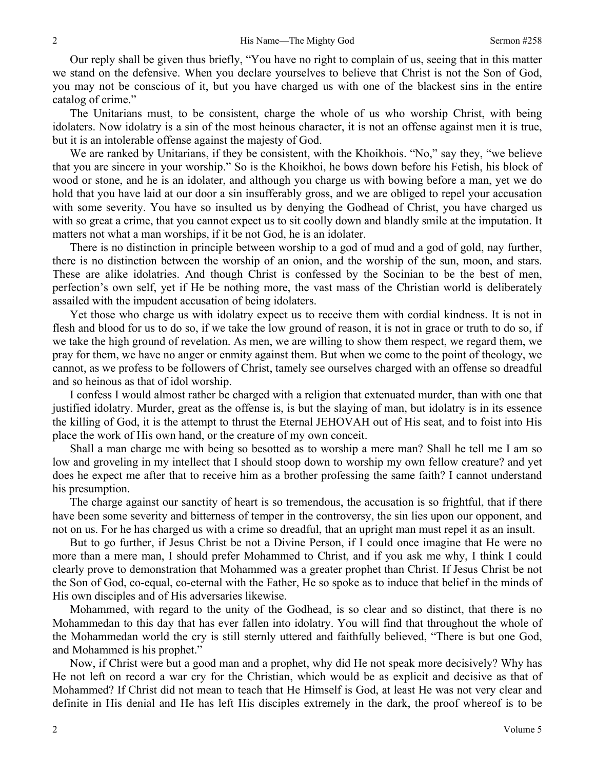Our reply shall be given thus briefly, "You have no right to complain of us, seeing that in this matter we stand on the defensive. When you declare yourselves to believe that Christ is not the Son of God, you may not be conscious of it, but you have charged us with one of the blackest sins in the entire catalog of crime."

The Unitarians must, to be consistent, charge the whole of us who worship Christ, with being idolaters. Now idolatry is a sin of the most heinous character, it is not an offense against men it is true, but it is an intolerable offense against the majesty of God.

We are ranked by Unitarians, if they be consistent, with the Khoikhois. "No," say they, "we believe that you are sincere in your worship." So is the Khoikhoi, he bows down before his Fetish, his block of wood or stone, and he is an idolater, and although you charge us with bowing before a man, yet we do hold that you have laid at our door a sin insufferably gross, and we are obliged to repel your accusation with some severity. You have so insulted us by denying the Godhead of Christ, you have charged us with so great a crime, that you cannot expect us to sit coolly down and blandly smile at the imputation. It matters not what a man worships, if it be not God, he is an idolater.

There is no distinction in principle between worship to a god of mud and a god of gold, nay further, there is no distinction between the worship of an onion, and the worship of the sun, moon, and stars. These are alike idolatries. And though Christ is confessed by the Socinian to be the best of men, perfection's own self, yet if He be nothing more, the vast mass of the Christian world is deliberately assailed with the impudent accusation of being idolaters.

Yet those who charge us with idolatry expect us to receive them with cordial kindness. It is not in flesh and blood for us to do so, if we take the low ground of reason, it is not in grace or truth to do so, if we take the high ground of revelation. As men, we are willing to show them respect, we regard them, we pray for them, we have no anger or enmity against them. But when we come to the point of theology, we cannot, as we profess to be followers of Christ, tamely see ourselves charged with an offense so dreadful and so heinous as that of idol worship.

I confess I would almost rather be charged with a religion that extenuated murder, than with one that justified idolatry. Murder, great as the offense is, is but the slaying of man, but idolatry is in its essence the killing of God, it is the attempt to thrust the Eternal JEHOVAH out of His seat, and to foist into His place the work of His own hand, or the creature of my own conceit.

Shall a man charge me with being so besotted as to worship a mere man? Shall he tell me I am so low and groveling in my intellect that I should stoop down to worship my own fellow creature? and yet does he expect me after that to receive him as a brother professing the same faith? I cannot understand his presumption.

The charge against our sanctity of heart is so tremendous, the accusation is so frightful, that if there have been some severity and bitterness of temper in the controversy, the sin lies upon our opponent, and not on us. For he has charged us with a crime so dreadful, that an upright man must repel it as an insult.

But to go further, if Jesus Christ be not a Divine Person, if I could once imagine that He were no more than a mere man, I should prefer Mohammed to Christ, and if you ask me why, I think I could clearly prove to demonstration that Mohammed was a greater prophet than Christ. If Jesus Christ be not the Son of God, co-equal, co-eternal with the Father, He so spoke as to induce that belief in the minds of His own disciples and of His adversaries likewise.

Mohammed, with regard to the unity of the Godhead, is so clear and so distinct, that there is no Mohammedan to this day that has ever fallen into idolatry. You will find that throughout the whole of the Mohammedan world the cry is still sternly uttered and faithfully believed, "There is but one God, and Mohammed is his prophet."

Now, if Christ were but a good man and a prophet, why did He not speak more decisively? Why has He not left on record a war cry for the Christian, which would be as explicit and decisive as that of Mohammed? If Christ did not mean to teach that He Himself is God, at least He was not very clear and definite in His denial and He has left His disciples extremely in the dark, the proof whereof is to be

2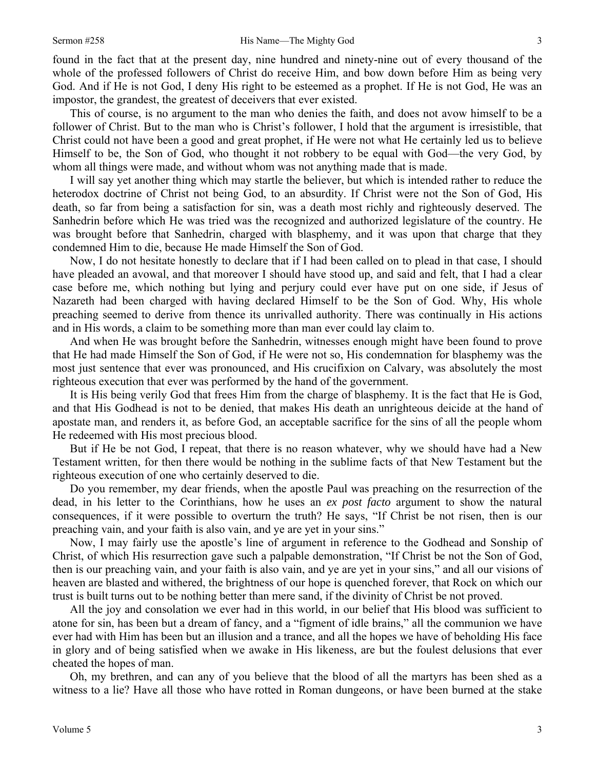found in the fact that at the present day, nine hundred and ninety-nine out of every thousand of the whole of the professed followers of Christ do receive Him, and bow down before Him as being very God. And if He is not God, I deny His right to be esteemed as a prophet. If He is not God, He was an impostor, the grandest, the greatest of deceivers that ever existed.

This of course, is no argument to the man who denies the faith, and does not avow himself to be a follower of Christ. But to the man who is Christ's follower, I hold that the argument is irresistible, that Christ could not have been a good and great prophet, if He were not what He certainly led us to believe Himself to be, the Son of God, who thought it not robbery to be equal with God—the very God, by whom all things were made, and without whom was not anything made that is made.

I will say yet another thing which may startle the believer, but which is intended rather to reduce the heterodox doctrine of Christ not being God, to an absurdity. If Christ were not the Son of God, His death, so far from being a satisfaction for sin, was a death most richly and righteously deserved. The Sanhedrin before which He was tried was the recognized and authorized legislature of the country. He was brought before that Sanhedrin, charged with blasphemy, and it was upon that charge that they condemned Him to die, because He made Himself the Son of God.

Now, I do not hesitate honestly to declare that if I had been called on to plead in that case, I should have pleaded an avowal, and that moreover I should have stood up, and said and felt, that I had a clear case before me, which nothing but lying and perjury could ever have put on one side, if Jesus of Nazareth had been charged with having declared Himself to be the Son of God. Why, His whole preaching seemed to derive from thence its unrivalled authority. There was continually in His actions and in His words, a claim to be something more than man ever could lay claim to.

And when He was brought before the Sanhedrin, witnesses enough might have been found to prove that He had made Himself the Son of God, if He were not so, His condemnation for blasphemy was the most just sentence that ever was pronounced, and His crucifixion on Calvary, was absolutely the most righteous execution that ever was performed by the hand of the government.

It is His being verily God that frees Him from the charge of blasphemy. It is the fact that He is God, and that His Godhead is not to be denied, that makes His death an unrighteous deicide at the hand of apostate man, and renders it, as before God, an acceptable sacrifice for the sins of all the people whom He redeemed with His most precious blood.

But if He be not God, I repeat, that there is no reason whatever, why we should have had a New Testament written, for then there would be nothing in the sublime facts of that New Testament but the righteous execution of one who certainly deserved to die.

Do you remember, my dear friends, when the apostle Paul was preaching on the resurrection of the dead, in his letter to the Corinthians, how he uses an *ex post facto* argument to show the natural consequences, if it were possible to overturn the truth? He says, "If Christ be not risen, then is our preaching vain, and your faith is also vain, and ye are yet in your sins."

Now, I may fairly use the apostle's line of argument in reference to the Godhead and Sonship of Christ, of which His resurrection gave such a palpable demonstration, "If Christ be not the Son of God, then is our preaching vain, and your faith is also vain, and ye are yet in your sins," and all our visions of heaven are blasted and withered, the brightness of our hope is quenched forever, that Rock on which our trust is built turns out to be nothing better than mere sand, if the divinity of Christ be not proved.

All the joy and consolation we ever had in this world, in our belief that His blood was sufficient to atone for sin, has been but a dream of fancy, and a "figment of idle brains," all the communion we have ever had with Him has been but an illusion and a trance, and all the hopes we have of beholding His face in glory and of being satisfied when we awake in His likeness, are but the foulest delusions that ever cheated the hopes of man.

Oh, my brethren, and can any of you believe that the blood of all the martyrs has been shed as a witness to a lie? Have all those who have rotted in Roman dungeons, or have been burned at the stake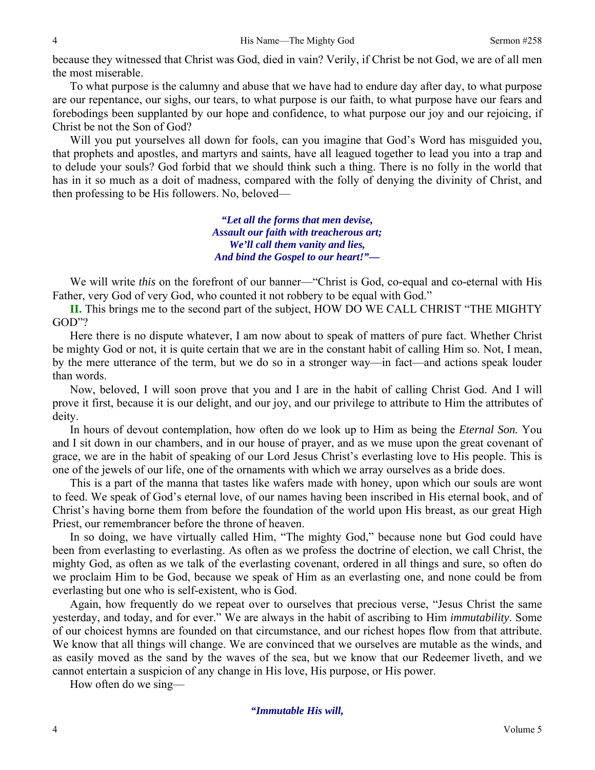because they witnessed that Christ was God, died in vain? Verily, if Christ be not God, we are of all men the most miserable.

To what purpose is the calumny and abuse that we have had to endure day after day, to what purpose are our repentance, our sighs, our tears, to what purpose is our faith, to what purpose have our fears and forebodings been supplanted by our hope and confidence, to what purpose our joy and our rejoicing, if Christ be not the Son of God?

Will you put yourselves all down for fools, can you imagine that God's Word has misguided you, that prophets and apostles, and martyrs and saints, have all leagued together to lead you into a trap and to delude your souls? God forbid that we should think such a thing. There is no folly in the world that has in it so much as a doit of madness, compared with the folly of denying the divinity of Christ, and then professing to be His followers. No, beloved—

> *"Let all the forms that men devise, Assault our faith with treacherous art; We'll call them vanity and lies, And bind the Gospel to our heart!"—*

We will write *this* on the forefront of our banner—"Christ is God, co-equal and co-eternal with His Father, very God of very God, who counted it not robbery to be equal with God."

**II.** This brings me to the second part of the subject, HOW DO WE CALL CHRIST "THE MIGHTY GOD"?

Here there is no dispute whatever, I am now about to speak of matters of pure fact. Whether Christ be mighty God or not, it is quite certain that we are in the constant habit of calling Him so. Not, I mean, by the mere utterance of the term, but we do so in a stronger way—in fact—and actions speak louder than words.

Now, beloved, I will soon prove that you and I are in the habit of calling Christ God. And I will prove it first, because it is our delight, and our joy, and our privilege to attribute to Him the attributes of deity.

In hours of devout contemplation, how often do we look up to Him as being the *Eternal Son.* You and I sit down in our chambers, and in our house of prayer, and as we muse upon the great covenant of grace, we are in the habit of speaking of our Lord Jesus Christ's everlasting love to His people. This is one of the jewels of our life, one of the ornaments with which we array ourselves as a bride does.

This is a part of the manna that tastes like wafers made with honey, upon which our souls are wont to feed. We speak of God's eternal love, of our names having been inscribed in His eternal book, and of Christ's having borne them from before the foundation of the world upon His breast, as our great High Priest, our remembrancer before the throne of heaven.

In so doing, we have virtually called Him, "The mighty God," because none but God could have been from everlasting to everlasting. As often as we profess the doctrine of election, we call Christ, the mighty God, as often as we talk of the everlasting covenant, ordered in all things and sure, so often do we proclaim Him to be God, because we speak of Him as an everlasting one, and none could be from everlasting but one who is self-existent, who is God.

Again, how frequently do we repeat over to ourselves that precious verse, "Jesus Christ the same yesterday, and today, and for ever." We are always in the habit of ascribing to Him *immutability*. Some of our choicest hymns are founded on that circumstance, and our richest hopes flow from that attribute. We know that all things will change. We are convinced that we ourselves are mutable as the winds, and as easily moved as the sand by the waves of the sea, but we know that our Redeemer liveth, and we cannot entertain a suspicion of any change in His love, His purpose, or His power.

How often do we sing—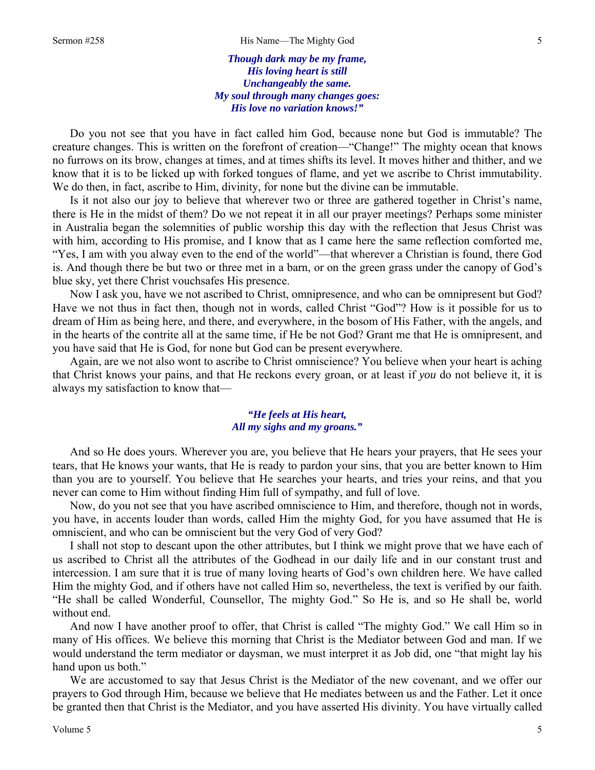*Though dark may be my frame, His loving heart is still Unchangeably the same. My soul through many changes goes: His love no variation knows!"* 

Do you not see that you have in fact called him God, because none but God is immutable? The creature changes. This is written on the forefront of creation—"Change!" The mighty ocean that knows no furrows on its brow, changes at times, and at times shifts its level. It moves hither and thither, and we know that it is to be licked up with forked tongues of flame, and yet we ascribe to Christ immutability. We do then, in fact, ascribe to Him, divinity, for none but the divine can be immutable.

Is it not also our joy to believe that wherever two or three are gathered together in Christ's name, there is He in the midst of them? Do we not repeat it in all our prayer meetings? Perhaps some minister in Australia began the solemnities of public worship this day with the reflection that Jesus Christ was with him, according to His promise, and I know that as I came here the same reflection comforted me, "Yes, I am with you alway even to the end of the world"—that wherever a Christian is found, there God is. And though there be but two or three met in a barn, or on the green grass under the canopy of God's blue sky, yet there Christ vouchsafes His presence.

Now I ask you, have we not ascribed to Christ, omnipresence, and who can be omnipresent but God? Have we not thus in fact then, though not in words, called Christ "God"? How is it possible for us to dream of Him as being here, and there, and everywhere, in the bosom of His Father, with the angels, and in the hearts of the contrite all at the same time, if He be not God? Grant me that He is omnipresent, and you have said that He is God, for none but God can be present everywhere.

Again, are we not also wont to ascribe to Christ omniscience? You believe when your heart is aching that Christ knows your pains, and that He reckons every groan, or at least if *you* do not believe it, it is always my satisfaction to know that—

## *"He feels at His heart, All my sighs and my groans."*

And so He does yours. Wherever you are, you believe that He hears your prayers, that He sees your tears, that He knows your wants, that He is ready to pardon your sins, that you are better known to Him than you are to yourself. You believe that He searches your hearts, and tries your reins, and that you never can come to Him without finding Him full of sympathy, and full of love.

Now, do you not see that you have ascribed omniscience to Him, and therefore, though not in words, you have, in accents louder than words, called Him the mighty God, for you have assumed that He is omniscient, and who can be omniscient but the very God of very God?

I shall not stop to descant upon the other attributes, but I think we might prove that we have each of us ascribed to Christ all the attributes of the Godhead in our daily life and in our constant trust and intercession. I am sure that it is true of many loving hearts of God's own children here. We have called Him the mighty God, and if others have not called Him so, nevertheless, the text is verified by our faith. "He shall be called Wonderful, Counsellor, The mighty God." So He is, and so He shall be, world without end.

And now I have another proof to offer, that Christ is called "The mighty God." We call Him so in many of His offices. We believe this morning that Christ is the Mediator between God and man. If we would understand the term mediator or daysman, we must interpret it as Job did, one "that might lay his hand upon us both."

We are accustomed to say that Jesus Christ is the Mediator of the new covenant, and we offer our prayers to God through Him, because we believe that He mediates between us and the Father. Let it once be granted then that Christ is the Mediator, and you have asserted His divinity. You have virtually called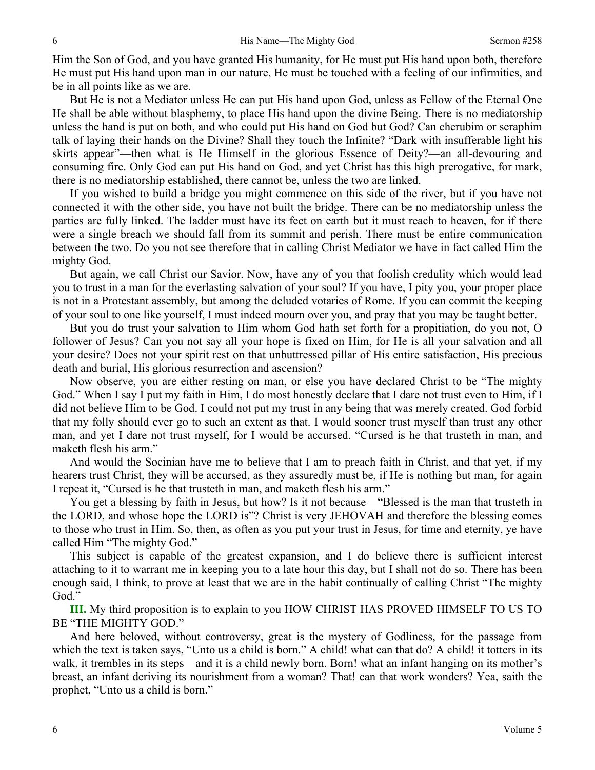Him the Son of God, and you have granted His humanity, for He must put His hand upon both, therefore He must put His hand upon man in our nature, He must be touched with a feeling of our infirmities, and be in all points like as we are.

But He is not a Mediator unless He can put His hand upon God, unless as Fellow of the Eternal One He shall be able without blasphemy, to place His hand upon the divine Being. There is no mediatorship unless the hand is put on both, and who could put His hand on God but God? Can cherubim or seraphim talk of laying their hands on the Divine? Shall they touch the Infinite? "Dark with insufferable light his skirts appear"—then what is He Himself in the glorious Essence of Deity?—an all-devouring and consuming fire. Only God can put His hand on God, and yet Christ has this high prerogative, for mark, there is no mediatorship established, there cannot be, unless the two are linked.

If you wished to build a bridge you might commence on this side of the river, but if you have not connected it with the other side, you have not built the bridge. There can be no mediatorship unless the parties are fully linked. The ladder must have its feet on earth but it must reach to heaven, for if there were a single breach we should fall from its summit and perish. There must be entire communication between the two. Do you not see therefore that in calling Christ Mediator we have in fact called Him the mighty God.

But again, we call Christ our Savior. Now, have any of you that foolish credulity which would lead you to trust in a man for the everlasting salvation of your soul? If you have, I pity you, your proper place is not in a Protestant assembly, but among the deluded votaries of Rome. If you can commit the keeping of your soul to one like yourself, I must indeed mourn over you, and pray that you may be taught better.

But you do trust your salvation to Him whom God hath set forth for a propitiation, do you not, O follower of Jesus? Can you not say all your hope is fixed on Him, for He is all your salvation and all your desire? Does not your spirit rest on that unbuttressed pillar of His entire satisfaction, His precious death and burial, His glorious resurrection and ascension?

Now observe, you are either resting on man, or else you have declared Christ to be "The mighty God." When I say I put my faith in Him, I do most honestly declare that I dare not trust even to Him, if I did not believe Him to be God. I could not put my trust in any being that was merely created. God forbid that my folly should ever go to such an extent as that. I would sooner trust myself than trust any other man, and yet I dare not trust myself, for I would be accursed. "Cursed is he that trusteth in man, and maketh flesh his arm."

And would the Socinian have me to believe that I am to preach faith in Christ, and that yet, if my hearers trust Christ, they will be accursed, as they assuredly must be, if He is nothing but man, for again I repeat it, "Cursed is he that trusteth in man, and maketh flesh his arm."

You get a blessing by faith in Jesus, but how? Is it not because—"Blessed is the man that trusteth in the LORD, and whose hope the LORD is"? Christ is very JEHOVAH and therefore the blessing comes to those who trust in Him. So, then, as often as you put your trust in Jesus, for time and eternity, ye have called Him "The mighty God."

This subject is capable of the greatest expansion, and I do believe there is sufficient interest attaching to it to warrant me in keeping you to a late hour this day, but I shall not do so. There has been enough said, I think, to prove at least that we are in the habit continually of calling Christ "The mighty God."

**III.** My third proposition is to explain to you HOW CHRIST HAS PROVED HIMSELF TO US TO BE "THE MIGHTY GOD."

And here beloved, without controversy, great is the mystery of Godliness, for the passage from which the text is taken says, "Unto us a child is born." A child! what can that do? A child! it totters in its walk, it trembles in its steps—and it is a child newly born. Born! what an infant hanging on its mother's breast, an infant deriving its nourishment from a woman? That! can that work wonders? Yea, saith the prophet, "Unto us a child is born."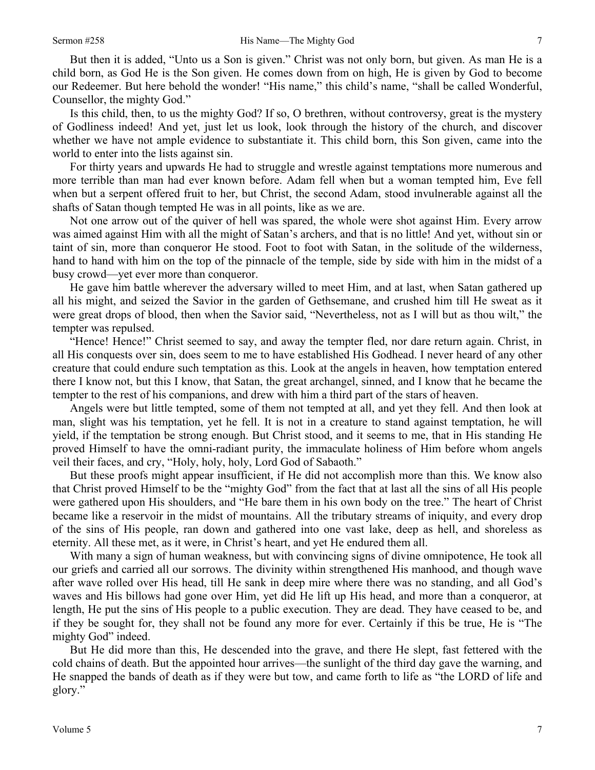But then it is added, "Unto us a Son is given." Christ was not only born, but given. As man He is a child born, as God He is the Son given. He comes down from on high, He is given by God to become our Redeemer. But here behold the wonder! "His name," this child's name, "shall be called Wonderful, Counsellor, the mighty God."

Is this child, then, to us the mighty God? If so, O brethren, without controversy, great is the mystery of Godliness indeed! And yet, just let us look, look through the history of the church, and discover whether we have not ample evidence to substantiate it. This child born, this Son given, came into the world to enter into the lists against sin.

For thirty years and upwards He had to struggle and wrestle against temptations more numerous and more terrible than man had ever known before. Adam fell when but a woman tempted him, Eve fell when but a serpent offered fruit to her, but Christ, the second Adam, stood invulnerable against all the shafts of Satan though tempted He was in all points, like as we are.

Not one arrow out of the quiver of hell was spared, the whole were shot against Him. Every arrow was aimed against Him with all the might of Satan's archers, and that is no little! And yet, without sin or taint of sin, more than conqueror He stood. Foot to foot with Satan, in the solitude of the wilderness, hand to hand with him on the top of the pinnacle of the temple, side by side with him in the midst of a busy crowd—yet ever more than conqueror.

He gave him battle wherever the adversary willed to meet Him, and at last, when Satan gathered up all his might, and seized the Savior in the garden of Gethsemane, and crushed him till He sweat as it were great drops of blood, then when the Savior said, "Nevertheless, not as I will but as thou wilt," the tempter was repulsed.

"Hence! Hence!" Christ seemed to say, and away the tempter fled, nor dare return again. Christ, in all His conquests over sin, does seem to me to have established His Godhead. I never heard of any other creature that could endure such temptation as this. Look at the angels in heaven, how temptation entered there I know not, but this I know, that Satan, the great archangel, sinned, and I know that he became the tempter to the rest of his companions, and drew with him a third part of the stars of heaven.

Angels were but little tempted, some of them not tempted at all, and yet they fell. And then look at man, slight was his temptation, yet he fell. It is not in a creature to stand against temptation, he will yield, if the temptation be strong enough. But Christ stood, and it seems to me, that in His standing He proved Himself to have the omni-radiant purity, the immaculate holiness of Him before whom angels veil their faces, and cry, "Holy, holy, holy, Lord God of Sabaoth."

But these proofs might appear insufficient, if He did not accomplish more than this. We know also that Christ proved Himself to be the "mighty God" from the fact that at last all the sins of all His people were gathered upon His shoulders, and "He bare them in his own body on the tree." The heart of Christ became like a reservoir in the midst of mountains. All the tributary streams of iniquity, and every drop of the sins of His people, ran down and gathered into one vast lake, deep as hell, and shoreless as eternity. All these met, as it were, in Christ's heart, and yet He endured them all.

With many a sign of human weakness, but with convincing signs of divine omnipotence, He took all our griefs and carried all our sorrows. The divinity within strengthened His manhood, and though wave after wave rolled over His head, till He sank in deep mire where there was no standing, and all God's waves and His billows had gone over Him, yet did He lift up His head, and more than a conqueror, at length, He put the sins of His people to a public execution. They are dead. They have ceased to be, and if they be sought for, they shall not be found any more for ever. Certainly if this be true, He is "The mighty God" indeed.

But He did more than this, He descended into the grave, and there He slept, fast fettered with the cold chains of death. But the appointed hour arrives—the sunlight of the third day gave the warning, and He snapped the bands of death as if they were but tow, and came forth to life as "the LORD of life and glory."